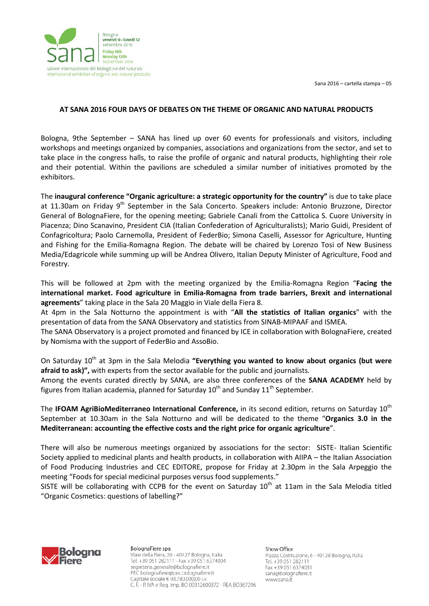Sana 2016 – cartella stampa – 05



## **AT SANA 2016 FOUR DAYS OF DEBATES ON THE THEME OF ORGANIC AND NATURAL PRODUCTS**

Bologna, 9the September – SANA has lined up over 60 events for professionals and visitors, including workshops and meetings organized by companies, associations and organizations from the sector, and set to take place in the congress halls, to raise the profile of organic and natural products, highlighting their role and their potential. Within the pavilions are scheduled a similar number of initiatives promoted by the exhibitors.

The **inaugural conference "Organic agriculture: a strategic opportunity for the country"** is due to take place at 11.30am on Friday  $9<sup>th</sup>$  September in the Sala Concerto. Speakers include: Antonio Bruzzone, Director General of BolognaFiere, for the opening meeting; Gabriele Canali from the Cattolica S. Cuore University in Piacenza; Dino Scanavino, President CIA (Italian Confederation of Agriculturalists); Mario Guidi, President of Confagricoltura; Paolo Carnemolla, President of FederBio; Simona Caselli, Assessor for Agriculture, Hunting and Fishing for the Emilia-Romagna Region. The debate will be chaired by Lorenzo Tosi of New Business Media/Edagricole while summing up will be Andrea Olivero, Italian Deputy Minister of Agriculture, Food and Forestry.

This will be followed at 2pm with the meeting organized by the Emilia-Romagna Region "**Facing the international market. Food agriculture in Emilia-Romagna from trade barriers, Brexit and international agreements**" taking place in the Sala 20 Maggio in Viale della Fiera 8.

At 4pm in the Sala Notturno the appointment is with "**All the statistics of Italian organics**" with the presentation of data from the SANA Observatory and statistics from SINAB-MIPAAF and ISMEA.

The SANA Observatory is a project promoted and financed by ICE in collaboration with BolognaFiere, created by Nomisma with the support of FederBio and AssoBio.

On Saturday 10<sup>th</sup> at 3pm in the Sala Melodia "Everything you wanted to know about organics (but were **afraid to ask)",** with experts from the sector available for the public and journalists.

Among the events curated directly by SANA, are also three conferences of the **SANA ACADEMY** held by figures from Italian academia, planned for Saturday  $10^{th}$  and Sunday  $11^{th}$  September.

The **IFOAM AgriBioMediterraneo International Conference,** in its second edition, returns on Saturday 10th September at 10.30am in the Sala Notturno and will be dedicated to the theme "**Organics 3.0 in the Mediterranean: accounting the effective costs and the right price for organic agriculture**".

There will also be numerous meetings organized by associations for the sector: SISTE- Italian Scientific Society applied to medicinal plants and health products, in collaboration with AIIPA – the Italian Association of Food Producing Industries and CEC EDITORE, propose for Friday at 2.30pm in the Sala Arpeggio the meeting "Foods for special medicinal purposes versus food supplements."

SISTE will be collaborating with CCPB for the event on Saturday  $10<sup>th</sup>$  at 11am in the Sala Melodia titled "Organic Cosmetics: questions of labelling?"



BolognaFiere spa Viale della Fiera, 20 - 40127 Bologna, Italia Tel. +39 051 282111 - Fax +39 051 6374004 segreteria.generale@bolognafiere.it PEC bolognafiere@pec.bolognafiere.it Capitale sociale € 93.780.000,00 i.v. C. F. - P. IVA e Reg. Imp. BO 00312600372 - REA BO367296 Show Office

Piazza Costituzione, 6 - 40128 Bologna, Italia Tel. +39 051 282111 Fax +39 051 6374031 sana@bolognafiere.it www.sana.it